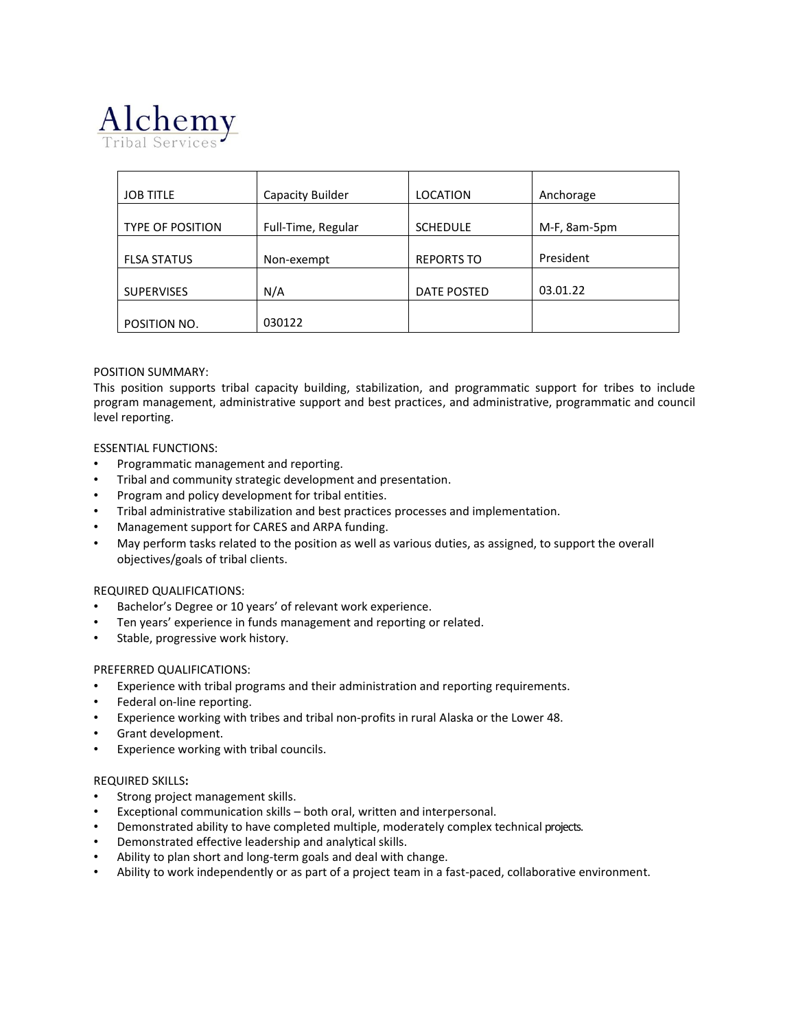

| <b>JOB TITLE</b>        | Capacity Builder   | <b>LOCATION</b>   | Anchorage    |
|-------------------------|--------------------|-------------------|--------------|
|                         |                    |                   |              |
| <b>TYPE OF POSITION</b> | Full-Time, Regular | <b>SCHEDULE</b>   | M-F, 8am-5pm |
|                         |                    |                   |              |
| <b>FLSA STATUS</b>      | Non-exempt         | <b>REPORTS TO</b> | President    |
|                         |                    |                   |              |
| <b>SUPERVISES</b>       | N/A                | DATE POSTED       | 03.01.22     |
|                         |                    |                   |              |
| POSITION NO.            | 030122             |                   |              |

### POSITION SUMMARY:

This position supports tribal capacity building, stabilization, and programmatic support for tribes to include program management, administrative support and best practices, and administrative, programmatic and council level reporting.

#### ESSENTIAL FUNCTIONS:

- Programmatic management and reporting.
- Tribal and community strategic development and presentation.
- Program and policy development for tribal entities.
- Tribal administrative stabilization and best practices processes and implementation.
- Management support for CARES and ARPA funding.
- May perform tasks related to the position as well as various duties, as assigned, to support the overall objectives/goals of tribal clients.

#### REQUIRED QUALIFICATIONS:

- Bachelor's Degree or 10 years' of relevant work experience.
- Ten years' experience in funds management and reporting or related.
- Stable, progressive work history.

#### PREFERRED QUALIFICATIONS:

- Experience with tribal programs and their administration and reporting requirements.
- Federal on-line reporting.
- Experience working with tribes and tribal non-profits in rural Alaska or the Lower 48.
- Grant development.
- Experience working with tribal councils.

#### REQUIRED SKILLS**:**

- Strong project management skills.
- Exceptional communication skills both oral, written and interpersonal.
- Demonstrated ability to have completed multiple, moderately complex technical projects.
- Demonstrated effective leadership and analytical skills.
- Ability to plan short and long-term goals and deal with change.
- Ability to work independently or as part of a project team in a fast-paced, collaborative environment.